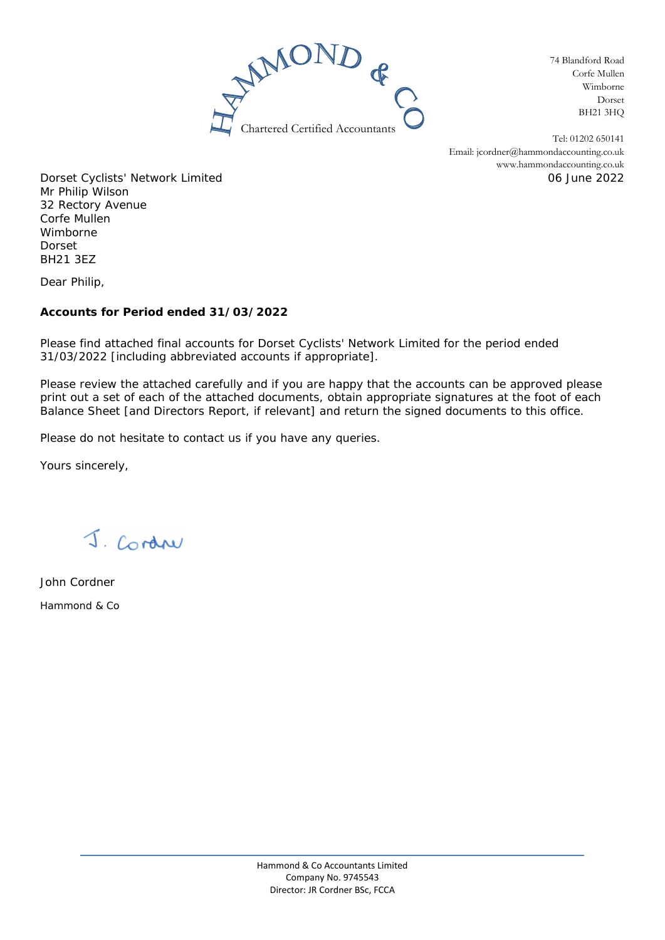

74 Blandford Road Corfe Mullen Wimborne Dorset BH21 3HQ

Tel: 01202 650141 Email: jcordner@hammondaccounting.co.uk www.hammondaccounting.co.uk 06 June 2022

Dorset Cyclists' Network Limited Mr Philip Wilson 32 Rectory Avenue Corfe Mullen Wimborne Dorset BH21 3EZ

Dear Philip,

**Accounts for Period ended 31/03/2022**

Please find attached final accounts for Dorset Cyclists' Network Limited for the period ended 31/03/2022 [including abbreviated accounts if appropriate].

Please review the attached carefully and if you are happy that the accounts can be approved please print out <sup>a</sup> set of each of the attached documents, obtain appropriate signatures at the foot of each Balance Sheet [and Directors Report, if relevant] and return the signed documents to this office.

Please do not hesitate to contact us if you have any queries.

Yours sincerely,

J. Cordre

John Cordner Hammond & Co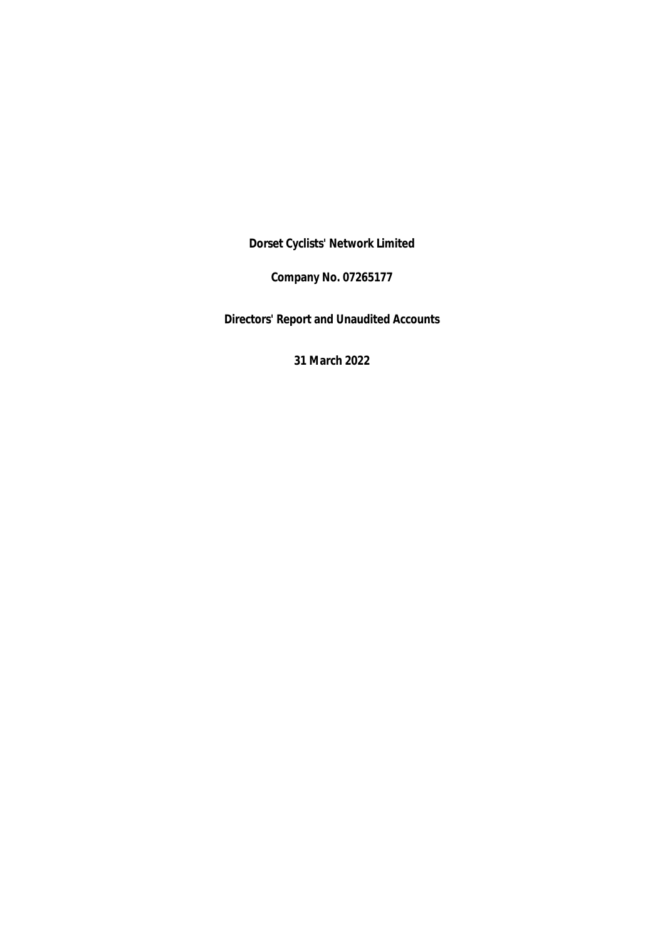**Company No. 07265177**

**Directors' Report and Unaudited Accounts**

**31 March 2022**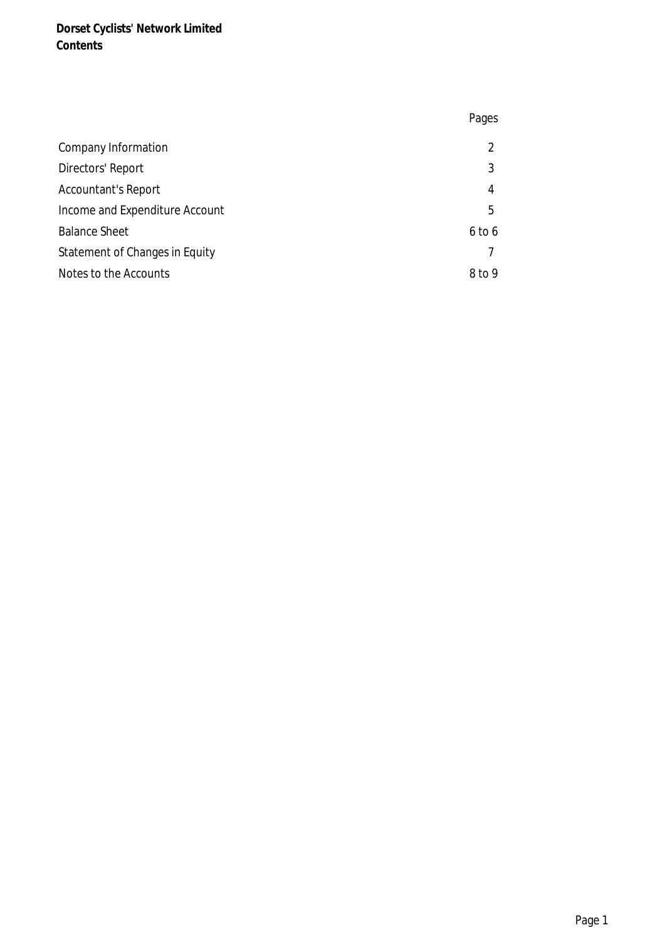**Dorset Cyclists' Network Limited Contents**

|                                | Pages          |
|--------------------------------|----------------|
| Company Information            | $\mathfrak{D}$ |
| Directors' Report              | 3              |
| <b>Accountant's Report</b>     | 4              |
| Income and Expenditure Account | 5              |
| <b>Balance Sheet</b>           | $6$ to $6$     |
| Statement of Changes in Equity |                |
| Notes to the Accounts          | 8 to 9         |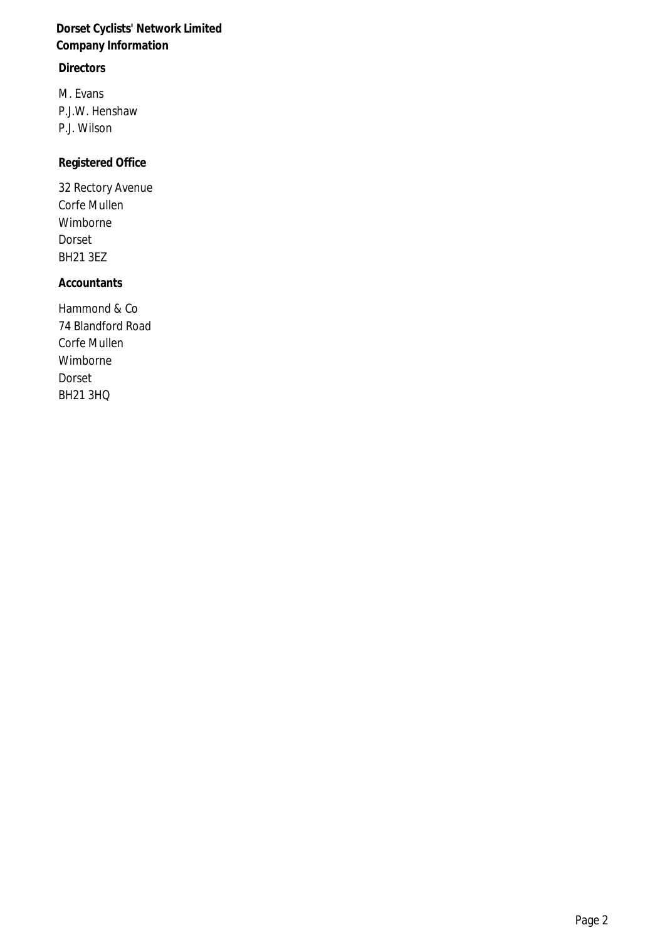**Dorset Cyclists' Network Limited Company Information**

**Directors**

M. Evans P.J.W. Henshaw P.J. Wilson

**Registered Office**

32 Rectory Avenue Corfe Mullen Wimborne Dorset BH21 3EZ

**Accountants**

Hammond & Co 74 Blandford Road Corfe Mullen Wimborne Dorset BH21 3HQ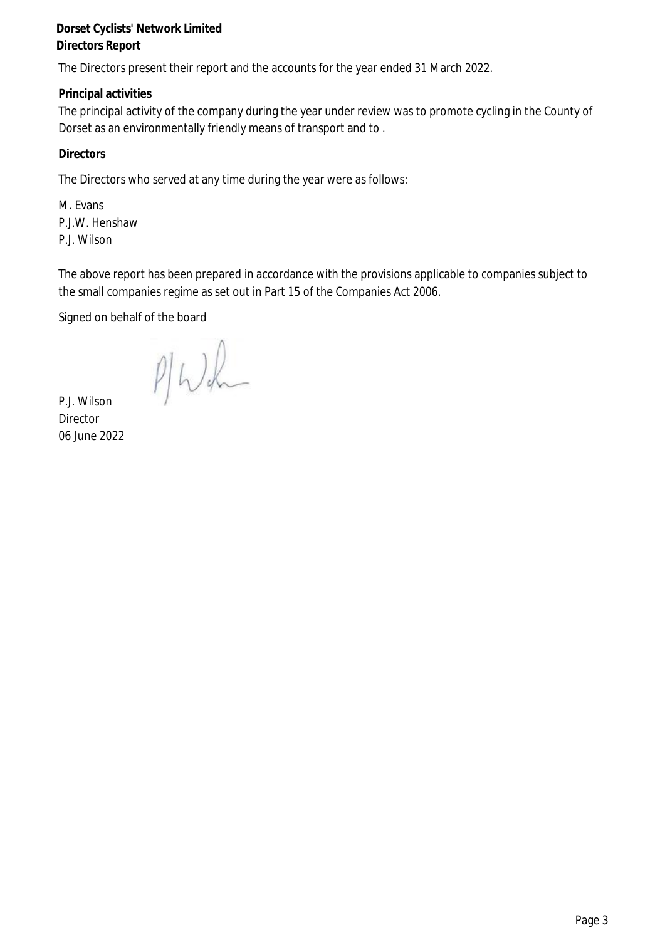**Dorset Cyclists' Network Limited Directors Report**

The Directors present their report and the accounts for the year ended 31 March 2022.

**Principal activities**

The principal activity of the company during the year under review was to promote cycling in the County of Dorset as an environmentally friendly means of transport and to .

**Directors**

The Directors who served at any time during the year were as follows:

M. Evans P.J.W. Henshaw P.J. Wilson

The above report has been prepared in accordance with the provisions applicable to companies subject to the small companies regime as set out in Part 15 of the Companies Act 2006.

Signed on behalf of the board

 $Plb$ 

P.J. Wilson Director 06 June 2022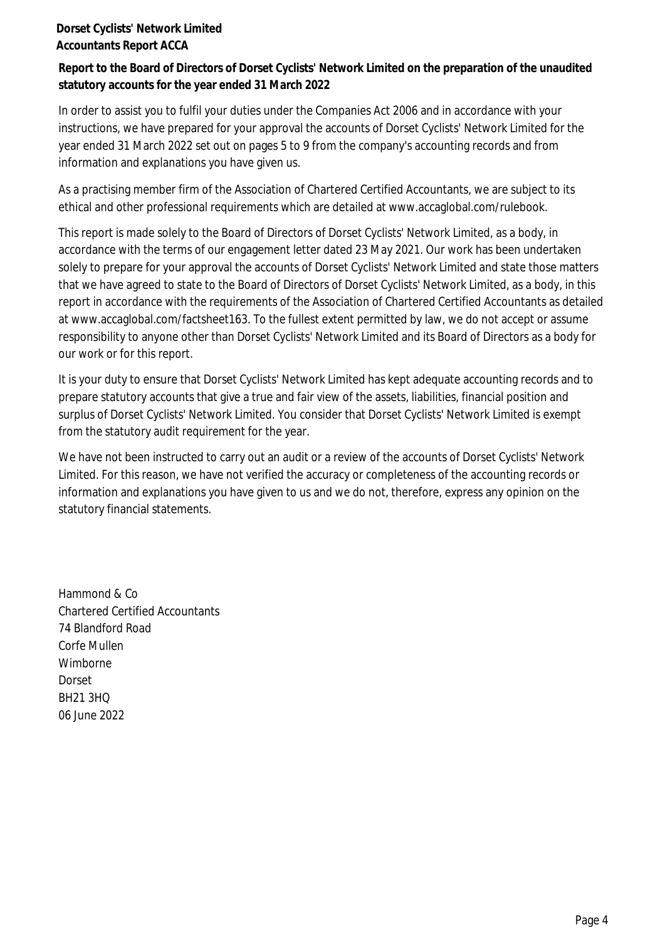**Dorset Cyclists' Network Limited Accountants Report ACCA**

**Report to the Board of Directors of Dorset Cyclists' Network Limited on the preparation of the unaudited statutory accounts for the year ended 31 March 2022**

In order to assist you to fulfil your duties under the Companies Act 2006 and in accordance with your instructions, we have prepared for your approval the accounts of Dorset Cyclists' Network Limited for the year ended 31 March 2022 set out on pages 5 to 9 from the company's accounting records and from information and explanations you have given us.

As <sup>a</sup> practising member firm of the Association of Chartered Certified Accountants, we are subject to its ethical and other professional requirements which are detailed at www.accaglobal.com/rulebook.

This report is made solely to the Board of Directors of Dorset Cyclists' Network Limited, as <sup>a</sup> body, in accordance with the terms of our engagement letter dated 23 May 2021. Our work has been undertaken solely to prepare for your approval the accounts of Dorset Cyclists' Network Limited and state those matters that we have agreed to state to the Board of Directors of Dorset Cyclists' Network Limited, as <sup>a</sup> body, in this report in accordance with the requirements of the Association of Chartered Certified Accountants as detailed at www.accaglobal.com/factsheet163. To the fullest extent permitted by law, we do not accept or assume responsibility to anyone other than Dorset Cyclists' Network Limited and its Board of Directors as <sup>a</sup> body for our work or for this report.

It is your duty to ensure that Dorset Cyclists' Network Limited has kept adequate accounting records and to prepare statutory accounts that give <sup>a</sup> true and fair view of the assets, liabilities, financial position and surplus of Dorset Cyclists' Network Limited. You consider that Dorset Cyclists' Network Limited is exempt from the statutory audit requirement for the year.

We have not been instructed to carry out an audit or <sup>a</sup> review of the accounts of Dorset Cyclists' Network Limited. For this reason, we have not verified the accuracy or completeness of the accounting records or information and explanations you have given to us and we do not, therefore, express any opinion on the statutory financial statements.

Hammond & Co Chartered Certified Accountants 74 Blandford Road Corfe Mullen Wimborne Dorset BH21 3HQ 06 June 2022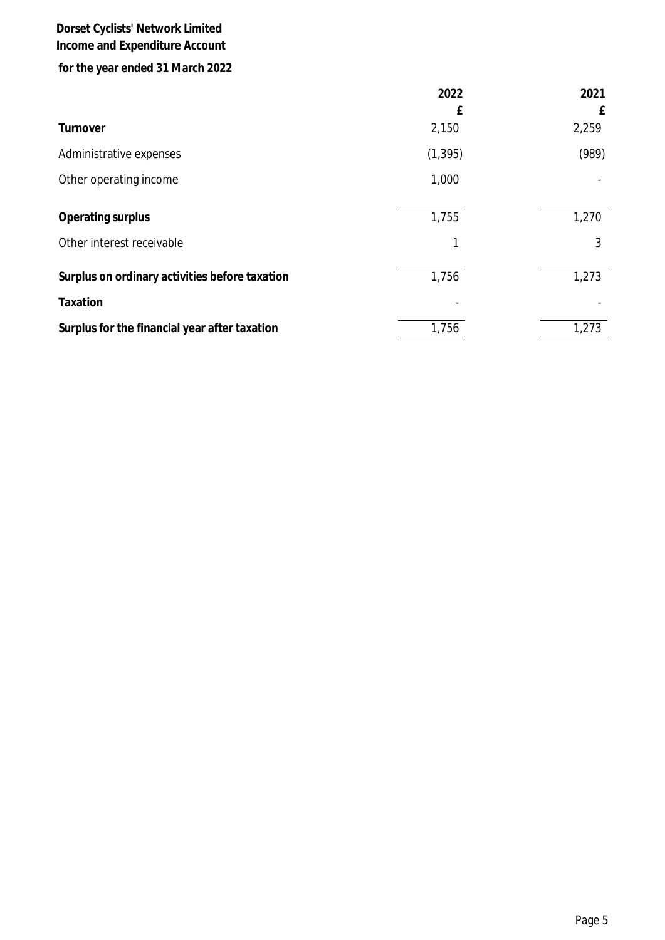# **Income and Expenditure Account**

**for the year ended 31 March 2022**

|                                                | 2022     | 2021  |
|------------------------------------------------|----------|-------|
|                                                | £        | £     |
| Turnover                                       | 2,150    | 2,259 |
| Administrative expenses                        | (1, 395) | (989) |
| Other operating income                         | 1,000    |       |
| Operating surplus                              | 1,755    | 1,270 |
| Other interest receivable                      |          | 3     |
| Surplus on ordinary activities before taxation | 1,756    | 1,273 |
| Taxation                                       |          |       |
| Surplus for the financial year after taxation  | 1,756    | 1,273 |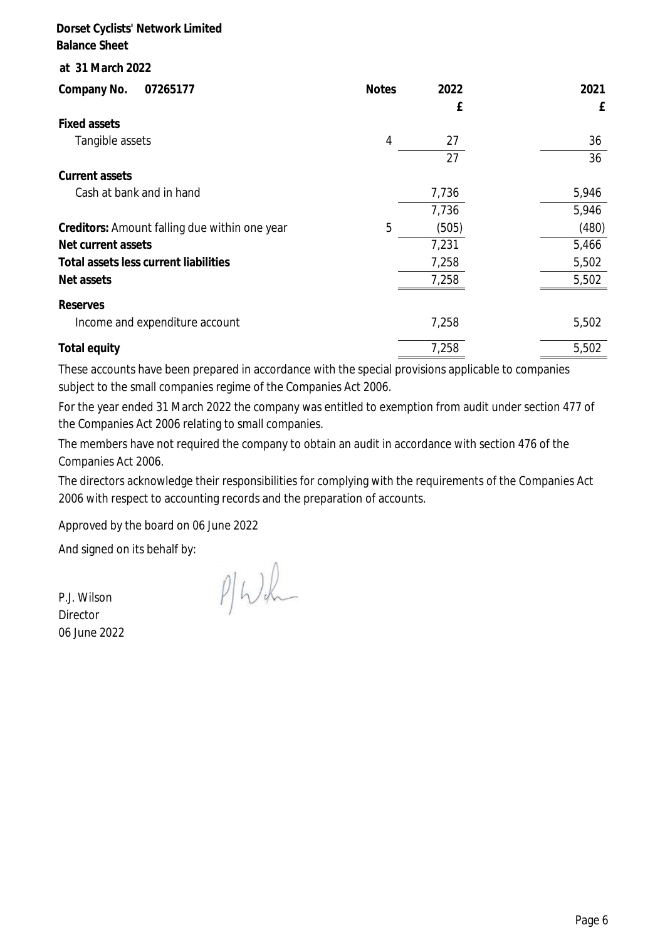**Balance Sheet**

| at 31 March 2022                              |              |                 |       |
|-----------------------------------------------|--------------|-----------------|-------|
| Company No.<br>07265177                       | <b>Notes</b> | 2022            | 2021  |
|                                               |              | £               | £     |
| <b>Fixed assets</b>                           |              |                 |       |
| Tangible assets                               | 4            | 27              | 36    |
|                                               |              | $\overline{27}$ | 36    |
| Current assets                                |              |                 |       |
| Cash at bank and in hand                      |              | 7,736           | 5,946 |
|                                               |              | 7,736           | 5,946 |
| Creditors: Amount falling due within one year | 5            | (505)           | (480) |
| Net current assets                            |              | 7,231           | 5,466 |
| Total assets less current liabilities         |              | 7,258           | 5,502 |
| Net assets                                    |              | 7,258           | 5,502 |
| Reserves                                      |              |                 |       |
| Income and expenditure account                |              | 7,258           | 5,502 |
| Total equity                                  |              | 7,258           | 5,502 |

These accounts have been prepared in accordance with the special provisions applicable to companies subject to the small companies regime of the Companies Act 2006.

For the year ended 31 March 2022 the company was entitled to exemption from audit under section 477 of the Companies Act 2006 relating to small companies.

The members have not required the company to obtain an audit in accordance with section 476 of the Companies Act 2006.

The directors acknowledge their responsibilities for complying with the requirements of the Companies Act 2006 with respect to accounting records and the preparation of accounts.

Approved by the board on 06 June 2022

And signed on its behalf by:

P.J. Wilson Director 06 June 2022

 $P|W$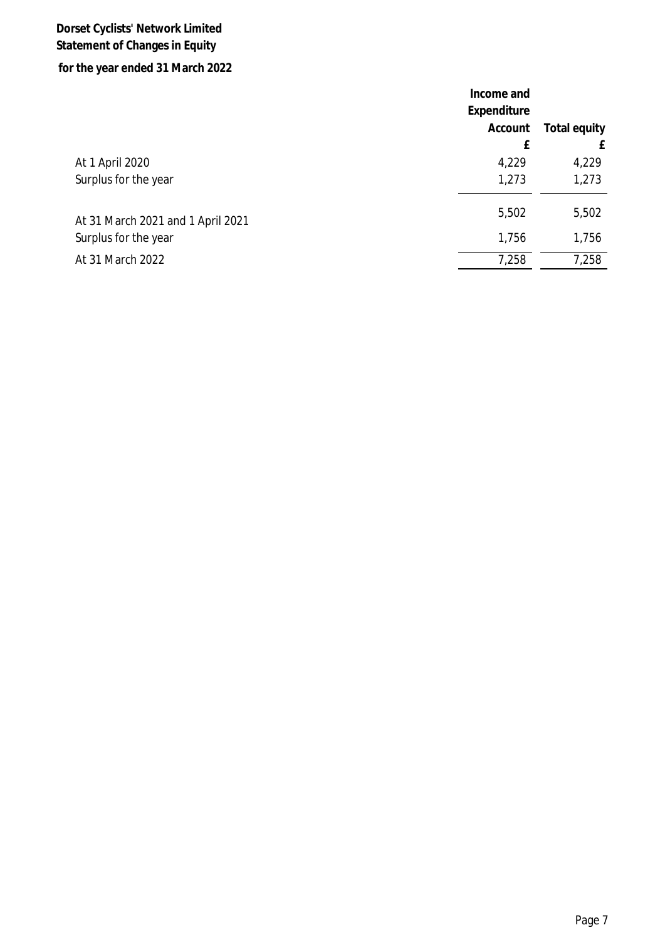# **for the year ended 31 March 2022 Dorset Cyclists' Network Limited Statement of Changes in Equity**

|                                   | Income and  |              |
|-----------------------------------|-------------|--------------|
|                                   | Expenditure |              |
|                                   | Account     | Total equity |
|                                   | £           | £            |
| At 1 April 2020                   | 4,229       | 4,229        |
| Surplus for the year              | 1,273       | 1,273        |
| At 31 March 2021 and 1 April 2021 | 5,502       | 5,502        |
| Surplus for the year              | 1,756       | 1,756        |
| At 31 March 2022                  | 7,258       | 7,258        |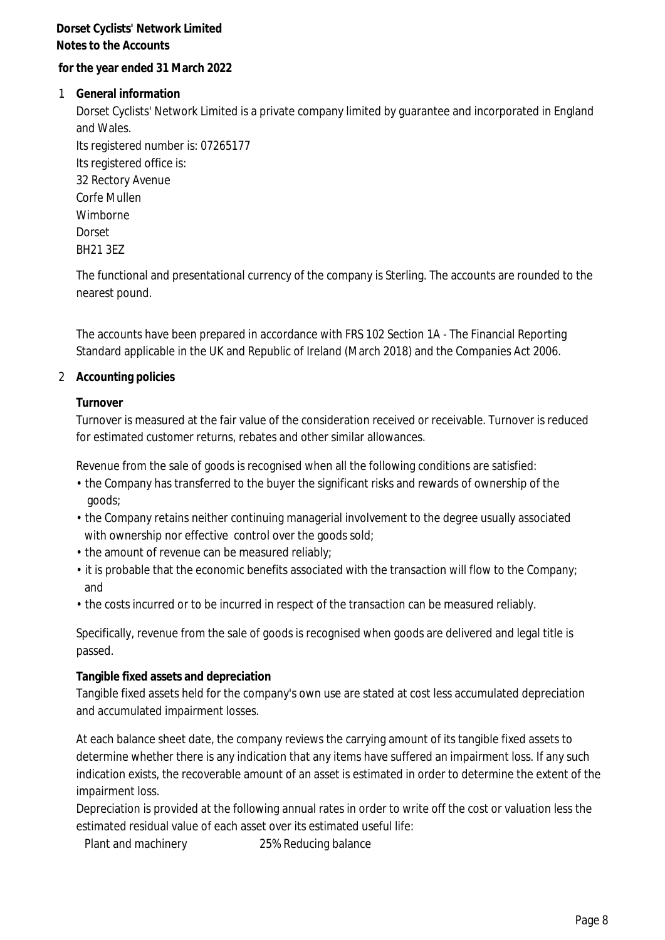**Dorset Cyclists' Network Limited Notes to the Accounts**

**for the year ended 31 March 2022**

1 **General information**

Dorset Cyclists' Network Limited is <sup>a</sup> private company limited by guarantee and incorporated in England and Wales.

Its registered number is: 07265177 Its registered office is: 32 Rectory Avenue Corfe Mullen Wimborne Dorset BH21 3EZ

The functional and presentational currency of the company is Sterling. The accounts are rounded to the nearest pound.

The accounts have been prepared in accordance with FRS 102 Section 1A - The Financial Reporting Standard applicable in the UK and Republic of Ireland (March 2018) and the Companies Act 2006.

2 **Accounting policies**

#### **Turnover**

Turnover is measured at the fair value of the consideration received or receivable. Turnover is reduced for estimated customer returns, rebates and other similar allowances.

Revenue from the sale of goods is recognised when all the following conditions are satisfied:

- the Company has transferred to the buyer the significant risks and rewards of ownership of the goods;
- the Company retains neither continuing managerial involvement to the degree usually associated with ownership nor effective control over the goods sold;
- the amount of revenue can be measured reliably;
- it is probable that the economic benefits associated with the transaction will flow to the Company; and
- the costs incurred or to be incurred in respect of the transaction can be measured reliably.

Specifically, revenue from the sale of goods is recognised when goods are delivered and legal title is passed.

**Tangible fixed assets and depreciation**

Tangible fixed assets held for the company's own use are stated at cost less accumulated depreciation and accumulated impairment losses.

At each balance sheet date, the company reviews the carrying amount of its tangible fixed assets to determine whether there is any indication that any items have suffered an impairment loss. If any such indication exists, the recoverable amount of an asset is estimated in order to determine the extent of the impairment loss.

Depreciation is provided at the following annual rates in order to write off the cost or valuation less the estimated residual value of each asset over its estimated useful life:

Plant and machinery 25% Reducing balance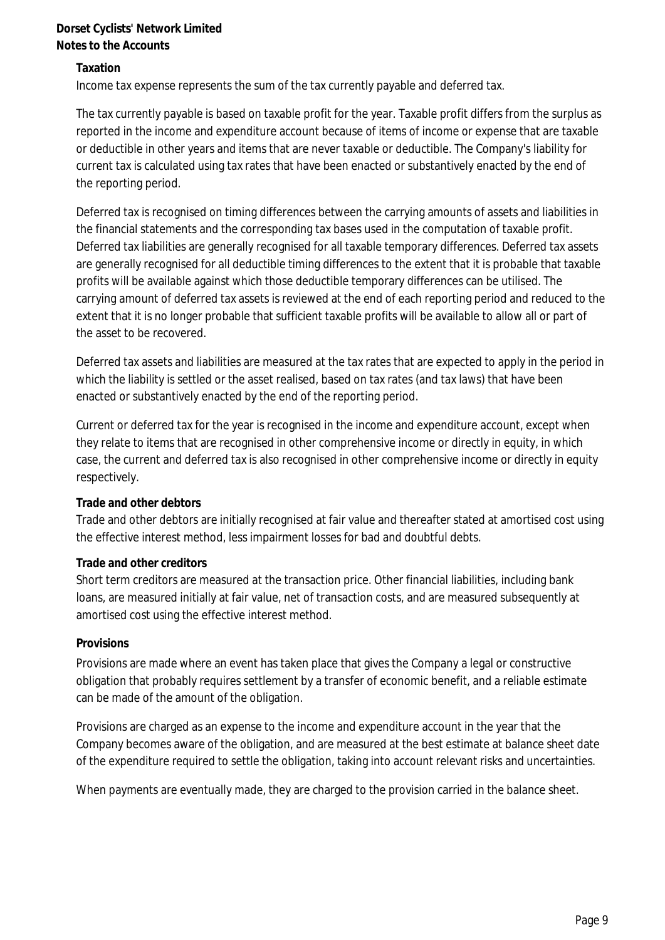### **Dorset Cyclists' Network Limited Notes to the Accounts**

#### **Taxation**

Income tax expense represents the sum of the tax currently payable and deferred tax.

The tax currently payable is based on taxable profit for the year. Taxable profit differs from the surplus as reported in the income and expenditure account because of items of income or expense that are taxable or deductible in other years and items that are never taxable or deductible. The Company's liability for current tax is calculated using tax rates that have been enacted or substantively enacted by the end of the reporting period.

Deferred tax is recognised on timing differences between the carrying amounts of assets and liabilities in the financial statements and the corresponding tax bases used in the computation of taxable profit. Deferred tax liabilities are generally recognised for all taxable temporary differences. Deferred tax assets are generally recognised for all deductible timing differences to the extent that it is probable that taxable profits will be available against which those deductible temporary differences can be utilised. The carrying amount of deferred tax assets is reviewed at the end of each reporting period and reduced to the extent that it is no longer probable that sufficient taxable profits will be available to allow all or part of the asset to be recovered.

Deferred tax assets and liabilities are measured at the tax rates that are expected to apply in the period in which the liability is settled or the asset realised, based on tax rates (and tax laws) that have been enacted or substantively enacted by the end of the reporting period.

Current or deferred tax for the year is recognised in the income and expenditure account, except when they relate to items that are recognised in other comprehensive income or directly in equity, in which case, the current and deferred tax is also recognised in other comprehensive income or directly in equity respectively.

### **Trade and other debtors**

Trade and other debtors are initially recognised at fair value and thereafter stated at amortised cost using the effective interest method, less impairment losses for bad and doubtful debts.

### **Trade and other creditors**

Short term creditors are measured at the transaction price. Other financial liabilities, including bank loans, are measured initially at fair value, net of transaction costs, and are measured subsequently at amortised cost using the effective interest method.

#### **Provisions**

Provisions are made where an event has taken place that gives the Company <sup>a</sup> legal or constructive obligation that probably requires settlement by <sup>a</sup> transfer of economic benefit, and <sup>a</sup> reliable estimate can be made of the amount of the obligation.

Provisions are charged as an expense to the income and expenditure account in the year that the Company becomes aware of the obligation, and are measured at the best estimate at balance sheet date of the expenditure required to settle the obligation, taking into account relevant risks and uncertainties.

When payments are eventually made, they are charged to the provision carried in the balance sheet.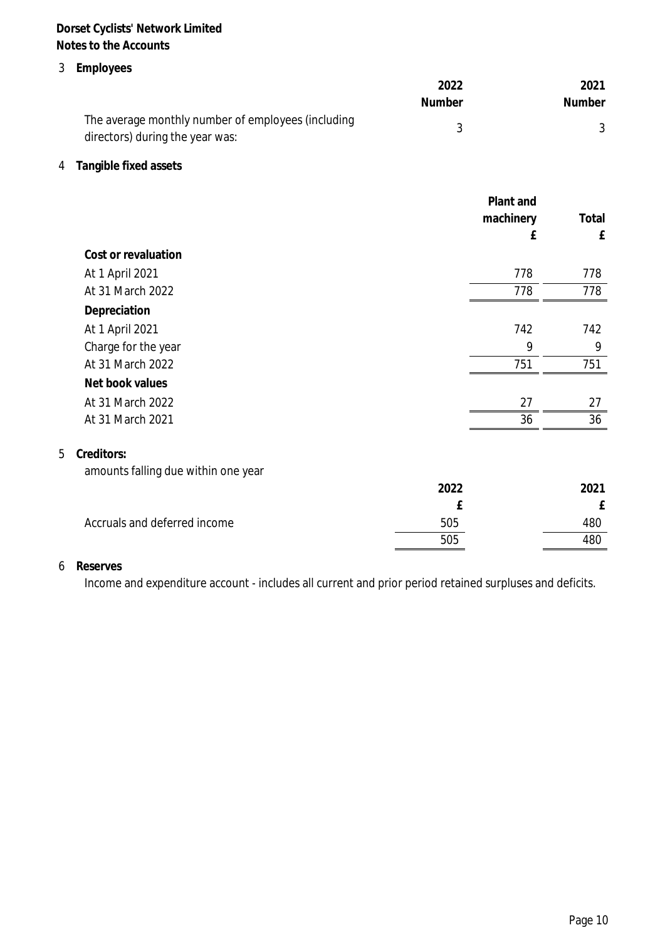### **Dorset Cyclists' Network Limited Notes to the Accounts**

3 **Employees**

|                                                                                       | 2022          | 2021          |
|---------------------------------------------------------------------------------------|---------------|---------------|
|                                                                                       | <b>Number</b> | <b>Number</b> |
| The average monthly number of employees (including<br>directors) during the year was: |               |               |

4 **Tangible fixed assets**

|                                     |      | Plant and<br>machinery<br>£ | Total<br>£ |
|-------------------------------------|------|-----------------------------|------------|
| Cost or revaluation                 |      |                             |            |
| At 1 April 2021                     |      | 778                         | 778        |
| At 31 March 2022                    |      | 778                         | 778        |
| Depreciation                        |      |                             |            |
| At 1 April 2021                     |      | 742                         | 742        |
| Charge for the year                 |      | 9                           | 9          |
| At 31 March 2022                    |      | 751                         | 751        |
| Net book values                     |      |                             |            |
| At 31 March 2022                    |      | 27                          | 27         |
| At 31 March 2021                    |      | 36                          | 36         |
| Creditors:                          |      |                             |            |
| amounts falling due within one year |      |                             |            |
|                                     | 2022 |                             | 2021       |
|                                     | £    |                             | £          |
| Accruals and deferred income        | 505  |                             | 480        |
|                                     | 505  |                             | 480        |

### 6 **Reserves**

5 **Creditors:**

Income and expenditure account - includes all current and prior period retained surpluses and deficits.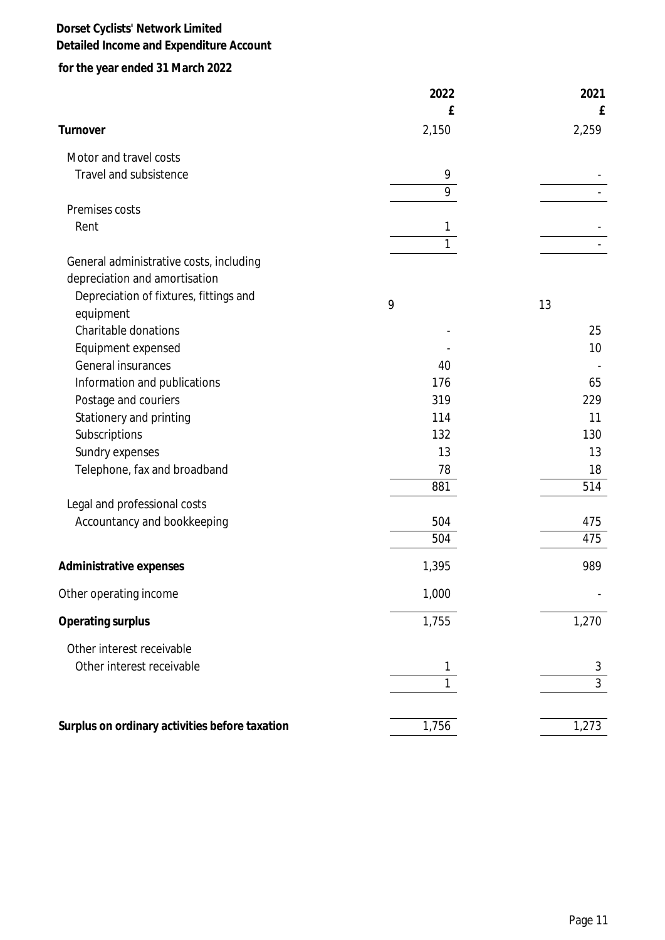## **Detailed Income and Expenditure Account**

**for the year ended 31 March 2022**

|                                                | 2022  | 2021  |
|------------------------------------------------|-------|-------|
|                                                | £     | £     |
| Turnover                                       | 2,150 | 2,259 |
| Motor and travel costs                         |       |       |
| Travel and subsistence                         | 9     |       |
|                                                | 9     |       |
| Premises costs                                 |       |       |
| Rent                                           | 1     |       |
|                                                | 1     |       |
| General administrative costs, including        |       |       |
| depreciation and amortisation                  |       |       |
| Depreciation of fixtures, fittings and         | 9     | 13    |
| equipment                                      |       |       |
| Charitable donations                           |       | 25    |
| Equipment expensed                             |       | 10    |
| General insurances                             | 40    |       |
| Information and publications                   | 176   | 65    |
| Postage and couriers                           | 319   | 229   |
| Stationery and printing                        | 114   | 11    |
| Subscriptions                                  | 132   | 130   |
| Sundry expenses                                | 13    | 13    |
| Telephone, fax and broadband                   | 78    | 18    |
|                                                | 881   | 514   |
| Legal and professional costs                   |       |       |
| Accountancy and bookkeeping                    | 504   | 475   |
|                                                | 504   | 475   |
| Administrative expenses                        | 1,395 | 989   |
| Other operating income                         | 1,000 |       |
| Operating surplus                              | 1,755 | 1,270 |
| Other interest receivable                      |       |       |
| Other interest receivable                      |       | 3     |
|                                                | 1     | 3     |
|                                                |       |       |
| Surplus on ordinary activities before taxation | 1,756 | 1,273 |